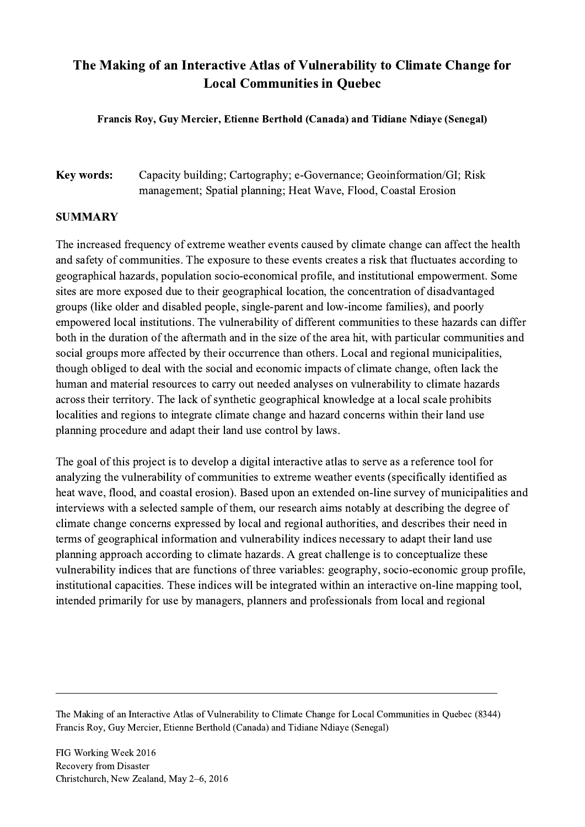## The Making of an Interactive Atlas of Vulnerability to Climate Change for Local Communities in Quebec

Francis Roy, Guy Mercier, Etienne Berthold (Canada) and Tidiane Ndiaye (Senegal)

## Key words: Capacity building; Cartography; e-Governance; Geoinformation/GI; Risk management; Spatial planning; Heat Wave, Flood, Coastal Erosion

## SUMMARY

The increased frequency of extreme weather events caused by climate change can affect the health and safety of communities. The exposure to these events creates a risk that fluctuates according to geographical hazards, population socio-economical profile, and institutional empowerment. Some sites are more exposed due to their geographical location, the concentration of disadvantaged groups (like older and disabled people, single-parent and low-income families), and poorly empowered local institutions. The vulnerability of different communities to these hazards can differ both in the duration of the aftermath and in the size of the area hit, with particular communities and social groups more affected by their occurrence than others. Local and regional municipalities, though obliged to deal with the social and economic impacts of climate change, often lack the human and material resources to carry out needed analyses on vulnerability to climate hazards across their territory. The lack of synthetic geographical knowledge at a local scale prohibits localities and regions to integrate climate change and hazard concerns within their land use planning procedure and adapt their land use control by laws.

The goal of this project is to develop a digital interactive atlas to serve as a reference tool for analyzing the vulnerability of communities to extreme weather events (specifically identified as heat wave, flood, and coastal erosion). Based upon an extended on-line survey of municipalities and interviews with a selected sample of them, our research aims notably at describing the degree of climate change concerns expressed by local and regional authorities, and describes their need in terms of geographical information and vulnerability indices necessary to adapt their land use planning approach according to climate hazards. A great challenge is to conceptualize these vulnerability indices that are functions of three variables: geography, socio-economic group profile, institutional capacities. These indices will be integrated within an interactive on-line mapping tool, intended primarily for use by managers, planners and professionals from local and regional

 $\mathcal{L}_\mathcal{L} = \{ \mathcal{L}_\mathcal{L} = \{ \mathcal{L}_\mathcal{L} = \{ \mathcal{L}_\mathcal{L} = \{ \mathcal{L}_\mathcal{L} = \{ \mathcal{L}_\mathcal{L} = \{ \mathcal{L}_\mathcal{L} = \{ \mathcal{L}_\mathcal{L} = \{ \mathcal{L}_\mathcal{L} = \{ \mathcal{L}_\mathcal{L} = \{ \mathcal{L}_\mathcal{L} = \{ \mathcal{L}_\mathcal{L} = \{ \mathcal{L}_\mathcal{L} = \{ \mathcal{L}_\mathcal{L} = \{ \mathcal{L}_\mathcal{$ 

The Making of an Interactive Atlas of Vulnerability to Climate Change for Local Communities in Quebec (8344) Francis Roy, Guy Mercier, Etienne Berthold (Canada) and Tidiane Ndiaye (Senegal)